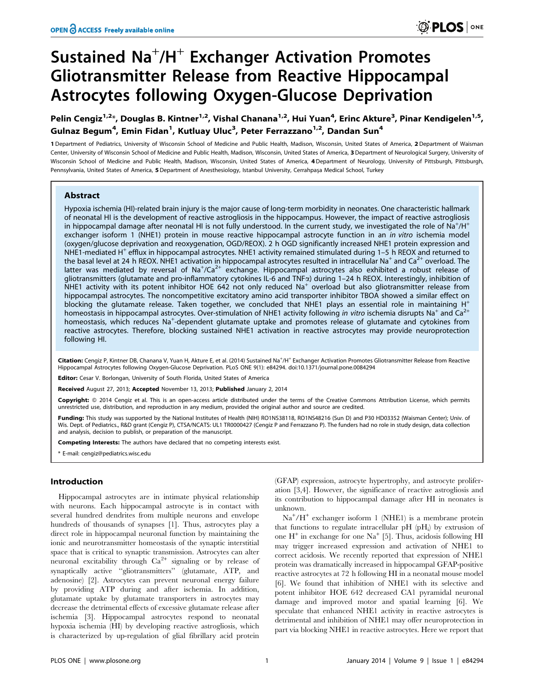# Sustained Na<sup>+</sup>/H<sup>+</sup> Exchanger Activation Promotes Gliotransmitter Release from Reactive Hippocampal Astrocytes following Oxygen-Glucose Deprivation

Pelin Cengiz<sup>1,2</sup>\*, Douglas B. Kintner<sup>1,2</sup>, Vishal Chanana<sup>1,2</sup>, Hui Yuan<sup>4</sup>, Erinc Akture<sup>3</sup>, Pinar Kendigelen<sup>1,5</sup>, Gulnaz Begum<sup>4</sup>, Emin Fidan<sup>1</sup>, Kutluay Uluc<sup>3</sup>, Peter Ferrazzano<sup>1,2</sup>, Dandan Sun<sup>4</sup>

1 Department of Pediatrics, University of Wisconsin School of Medicine and Public Health, Madison, Wisconsin, United States of America, 2 Department of Waisman Center, University of Wisconsin School of Medicine and Public Health, Madison, Wisconsin, United States of America, 3 Department of Neurological Surgery, University of Wisconsin School of Medicine and Public Health, Madison, Wisconsin, United States of America, 4 Department of Neurology, University of Pittsburgh, Pittsburgh, Pennsylvania, United States of America, 5 Department of Anesthesiology, Istanbul University, Cerrahpaşa Medical School, Turkey

# Abstract

Hypoxia ischemia (HI)-related brain injury is the major cause of long-term morbidity in neonates. One characteristic hallmark of neonatal HI is the development of reactive astrogliosis in the hippocampus. However, the impact of reactive astrogliosis in hippocampal damage after neonatal HI is not fully understood. In the current study, we investigated the role of  $Na^+/H^+$ exchanger isoform 1 (NHE1) protein in mouse reactive hippocampal astrocyte function in an *in vitro* ischemia model (oxygen/glucose deprivation and reoxygenation, OGD/REOX). 2 h OGD significantly increased NHE1 protein expression and NHE1-mediated H<sup>+</sup> efflux in hippocampal astrocytes. NHE1 activity remained stimulated during 1–5 h REOX and returned to the basal level at 24 h REOX. NHE1 activation in hippocampal astrocytes resulted in intracellular Na<sup>+</sup> and Ca<sup>2+</sup> overload. The latter was mediated by reversal of Na<sup>+</sup>/Ca<sup>2+</sup> exchange. Hippocampal astrocytes also exhibited a robust release of gliotransmitters (glutamate and pro-inflammatory cytokines IL-6 and TNFa) during 1–24 h REOX. Interestingly, inhibition of NHE1 activity with its potent inhibitor HOE 642 not only reduced  $Na<sup>+</sup>$  overload but also gliotransmitter release from hippocampal astrocytes. The noncompetitive excitatory amino acid transporter inhibitor TBOA showed a similar effect on blocking the glutamate release. Taken together, we concluded that NHE1 plays an essential role in maintaining  $H^+$ homeostasis in hippocampal astrocytes. Over-stimulation of NHE1 activity following in vitro ischemia disrupts Na<sup>+</sup> and Ca<sup>2+</sup> homeostasis, which reduces Na<sup>+</sup>-dependent glutamate uptake and promotes release of glutamate and cytokines from reactive astrocytes. Therefore, blocking sustained NHE1 activation in reactive astrocytes may provide neuroprotection following HI.

Citation: Cengiz P, Kintner DB, Chanana V, Yuan H, Akture E, et al. (2014) Sustained Na<sup>+</sup>/H<sup>+</sup> Exchanger Activation Promotes Gliotransmitter Release from Reactive Hippocampal Astrocytes following Oxygen-Glucose Deprivation. PLoS ONE 9(1): e84294. doi:10.1371/journal.pone.0084294

Editor: Cesar V. Borlongan, University of South Florida, United States of America

Received August 27, 2013; Accepted November 13, 2013; Published January 2, 2014

Copyright: @ 2014 Cengiz et al. This is an open-access article distributed under the terms of the Creative Commons Attribution License, which permits unrestricted use, distribution, and reproduction in any medium, provided the original author and source are credited.

Funding: This study was supported by the National Institutes of Health (NIH) RO1NS38118, RO1NS48216 (Sun D) and P30 HD03352 (Waisman Center); Univ. of Wis. Dept. of Pediatrics., R&D grant (Cengiz P), CTSA/NCATS: UL1 TR0000427 (Cengiz P and Ferrazzano P). The funders had no role in study design, data collection and analysis, decision to publish, or preparation of the manuscript.

Competing Interests: The authors have declared that no competing interests exist.

\* E-mail: cengiz@pediatrics.wisc.edu

## Introduction

Hippocampal astrocytes are in intimate physical relationship with neurons. Each hippocampal astrocyte is in contact with several hundred dendrites from multiple neurons and envelope hundreds of thousands of synapses [1]. Thus, astrocytes play a direct role in hippocampal neuronal function by maintaining the ionic and neurotransmitter homeostasis of the synaptic interstitial space that is critical to synaptic transmission. Astrocytes can alter neuronal excitability through  $Ca^{2+}$  signaling or by release of synaptically active ''gliotransmitters'' (glutamate, ATP, and adenosine) [2]. Astrocytes can prevent neuronal energy failure by providing ATP during and after ischemia. In addition, glutamate uptake by glutamate transporters in astrocytes may decrease the detrimental effects of excessive glutamate release after ischemia [3]. Hippocampal astrocytes respond to neonatal hypoxia ischemia (HI) by developing reactive astrogliosis, which is characterized by up-regulation of glial fibrillary acid protein

(GFAP) expression, astrocyte hypertrophy, and astrocyte proliferation [3,4]. However, the significance of reactive astrogliosis and its contribution to hippocampal damage after HI in neonates is unknown.

Na<sup>+</sup>/H<sup>+</sup> exchanger isoform 1 (NHE1) is a membrane protein that functions to regulate intracellular  $pH(pH_i)$  by extrusion of one  $H^+$  in exchange for one  $Na^+$  [5]. Thus, acidosis following HI may trigger increased expression and activation of NHE1 to correct acidosis. We recently reported that expression of NHE1 protein was dramatically increased in hippocampal GFAP-positive reactive astrocytes at 72 h following HI in a neonatal mouse model [6]. We found that inhibition of NHE1 with its selective and potent inhibitor HOE 642 decreased CA1 pyramidal neuronal damage and improved motor and spatial learning [6]. We speculate that enhanced NHE1 activity in reactive astrocytes is detrimental and inhibition of NHE1 may offer neuroprotection in part via blocking NHE1 in reactive astrocytes. Here we report that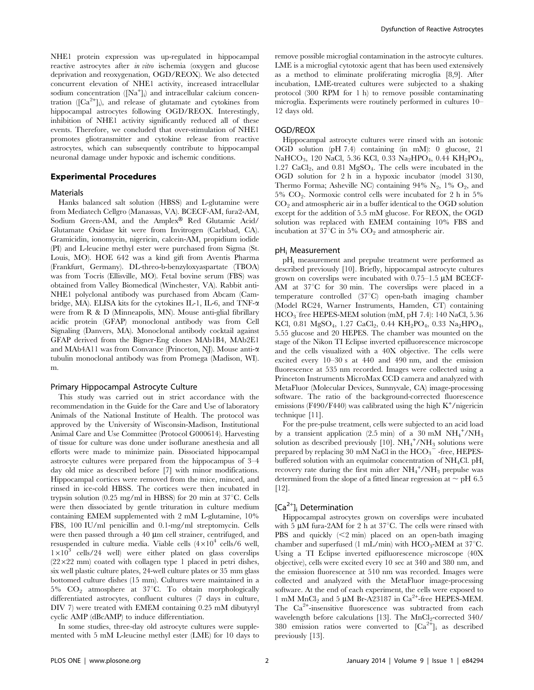NHE1 protein expression was up-regulated in hippocampal reactive astrocytes after in vitro ischemia (oxygen and glucose deprivation and reoxygenation, OGD/REOX). We also detected concurrent elevation of NHE1 activity, increased intracellular sodium concentration ([Na<sup>+</sup>]<sub>i</sub>) and intracellular calcium concentration ([Ca<sup>2+</sup>]<sub>i</sub>), and release of glutamate and cytokines from hippocampal astrocytes following OGD/REOX. Interestingly, inhibition of NHE1 activity significantly reduced all of these events. Therefore, we concluded that over-stimulation of NHE1 promotes gliotransmitter and cytokine release from reactive astrocytes, which can subsequently contribute to hippocampal neuronal damage under hypoxic and ischemic conditions.

## Experimental Procedures

#### Materials

Hanks balanced salt solution (HBSS) and L-glutamine were from Mediatech Cellgro (Manassas, VA). BCECF-AM, fura2-AM, Sodium Green-AM, and the Amplex® Red Glutamic Acid/ Glutamate Oxidase kit were from Invitrogen (Carlsbad, CA). Gramicidin, ionomycin, nigericin, calcein-AM, propidium iodide (PI) and L-leucine methyl ester were purchased from Sigma (St. Louis, MO). HOE 642 was a kind gift from Aventis Pharma (Frankfurt, Germany). DL-threo-b-benzyloxyaspartate (TBOA) was from Tocris (Ellisville, MO). Fetal bovine serum (FBS) was obtained from Valley Biomedical (Winchester, VA). Rabbit anti-NHE1 polyclonal antibody was purchased from Abcam (Cambridge, MA). ELISA kits for the cytokines IL-1, IL-6, and TNF- $\alpha$ were from R & D (Minneapolis, MN). Mouse anti-glial fibrillary acidic protein (GFAP) monoclonal antibody was from Cell Signaling (Danvers, MA). Monoclonal antibody cocktail against GFAP derived from the Bigner-Eng clones MAb1B4, MAb2E1 and MAb4A11 was from Convance (Princeton, NJ). Mouse anti- $\alpha$ tubulin monoclonal antibody was from Promega (Madison, WI). m.

#### Primary Hippocampal Astrocyte Culture

This study was carried out in strict accordance with the recommendation in the Guide for the Care and Use of laboratory Animals of the National Institute of Health. The protocol was approved by the University of Wisconsin-Madison, Institutional Animal Care and Use Committee (Protocol G000614). Harvesting of tissue for culture was done under isoflurane anesthesia and all efforts were made to minimize pain. Dissociated hippocampal astrocyte cultures were prepared from the hippocampus of 3–4 day old mice as described before [7] with minor modifications. Hippocampal cortices were removed from the mice, minced, and rinsed in ice-cold HBSS. The cortices were then incubated in trypsin solution (0.25 mg/ml in HBSS) for 20 min at  $37^{\circ}$ C. Cells were then dissociated by gentle trituration in culture medium containing EMEM supplemented with 2 mM L-glutamine, 10% FBS, 100 IU/ml penicillin and 0.1-mg/ml streptomycin. Cells were then passed through a  $40 \mu m$  cell strainer, centrifuged, and resuspended in culture media. Viable cells  $(4\times10^4 \text{ cells/6 well},$  $1\times10^3$  cells/24 well) were either plated on glass coverslips  $(22\times22 \text{ mm})$  coated with collagen type 1 placed in petri dishes, six well plastic culture plates, 24-well culture plates or 35 mm glass bottomed culture dishes (15 mm). Cultures were maintained in a  $5\%$  CO<sub>2</sub> atmosphere at  $37^{\circ}$ C. To obtain morphologically differentiated astrocytes, confluent cultures (7 days in culture, DIV 7) were treated with EMEM containing 0.25 mM dibutyryl cyclic AMP (dBcAMP) to induce differentiation.

In some studies, three-day old astrocyte cultures were supplemented with 5 mM L-leucine methyl ester (LME) for 10 days to remove possible microglial contamination in the astrocyte cultures. LME is a microglial cytotoxic agent that has been used extensively as a method to eliminate proliferating microglia [8,9]. After incubation, LME-treated cultures were subjected to a shaking protocol (300 RPM for 1 h) to remove possible contaminating microglia. Experiments were routinely performed in cultures 10– 12 days old.

#### OGD/REOX

Hippocampal astrocyte cultures were rinsed with an isotonic OGD solution (pH 7.4) containing (in mM): 0 glucose, 21 NaHCO<sub>3</sub>, 120 NaCl, 5.36 KCl, 0.33 Na<sub>2</sub>HPO<sub>4</sub>, 0.44 KH<sub>2</sub>PO<sub>4</sub>, 1.27 CaCl<sub>2</sub>, and 0.81 MgSO<sub>4</sub>. The cells were incubated in the OGD solution for 2 h in a hypoxic incubator (model 3130, Thermo Forma; Asheville NC) containing 94%  $N_2$ , 1%  $O_2$ , and  $5\%$  CO<sub>2</sub>. Normoxic control cells were incubated for 2 h in  $5\%$  $CO<sub>2</sub>$  and atmospheric air in a buffer identical to the OGD solution except for the addition of 5.5 mM glucose. For REOX, the OGD solution was replaced with EMEM containing 10% FBS and incubation at 37 $\mathrm{^{\circ}C}$  in 5%  $\mathrm{CO}_{2}$  and atmospheric air.

#### pHi Measurement

pHi measurement and prepulse treatment were performed as described previously [10]. Briefly, hippocampal astrocyte cultures grown on coverslips were incubated with  $0.75-1.5$   $\mu$ M BCECF-AM at  $37^{\circ}$ C for 30 min. The coverslips were placed in a temperature controlled  $(37^{\circ}C)$  open-bath imaging chamber (Model RC24, Warner Instruments, Hamden, CT) containing  $\rm HCO_3$  free HEPES-MEM solution (mM, pH 7.4): 140 NaCl, 5.36 KCl, 0.81 MgSO<sub>4</sub>, 1.27 CaCl<sub>2</sub>, 0.44 KH<sub>2</sub>PO<sub>4</sub>, 0.33 Na<sub>2</sub>HPO<sub>4</sub>, 5.55 glucose and 20 HEPES. The chamber was mounted on the stage of the Nikon TI Eclipse inverted epifluorescence microscope and the cells visualized with a 40X objective. The cells were excited every 10–30 s at 440 and 490 nm, and the emission fluorescence at 535 nm recorded. Images were collected using a Princeton Instruments MicroMax CCD camera and analyzed with MetaFluor (Molecular Devices, Sunnyvale, CA) image-processing software. The ratio of the background-corrected fluorescence emissions (F490/F440) was calibrated using the high K<sup>+</sup>/nigericin technique [11].

For the pre-pulse treatment, cells were subjected to an acid load by a transient application (2.5 min) of a  $30 \text{ mM } NH_{4}$ <sup>+</sup>/NH<sub>3</sub> solution as described previously  $[10]$ .  $NH<sub>4</sub><sup>+</sup>/NH<sub>3</sub>$  solutions were prepared by replacing  $30\ \mathrm{mM}\,\mathrm{NaCl}$  in the  $\mathrm{HCO_3}^-$  -free, HEPESbuffered solution with an equimolar concentration of  $NH_4Cl$ . pH<sub>i</sub> recovery rate during the first min after  $NH_4^+ / NH_3$  prepulse was determined from the slope of a fitted linear regression at  $\sim$  pH 6.5 [12].

# [Ca<sup>2+</sup>]<sub>i</sub> Determination

Hippocampal astrocytes grown on coverslips were incubated with 5  $\mu$ M fura-2AM for 2 h at 37<sup>°</sup>C. The cells were rinsed with PBS and quickly  $\leq$  min) placed on an open-bath imaging chamber and superfused (1 mL/min) with  $HCO<sub>3</sub>$ -MEM at 37<sup>°</sup>C. Using a TI Eclipse inverted epifluorescence microscope (40X objective), cells were excited every 10 sec at 340 and 380 nm, and the emission fluorescence at 510 nm was recorded. Images were collected and analyzed with the MetaFluor image-processing software. At the end of each experiment, the cells were exposed to 1 mM  $MnCl<sub>2</sub>$  and 5 µM Br-A23187 in  $Ca<sup>2+</sup>$ -free HEPES-MEM. The Ca<sup>2+</sup>-insensitive fluorescence was subtracted from each wavelength before calculations [13]. The MnCl<sub>2</sub>-corrected 340/ 380 emission ratios were converted to  $[Ca^{2+}]$ ; as described previously [13].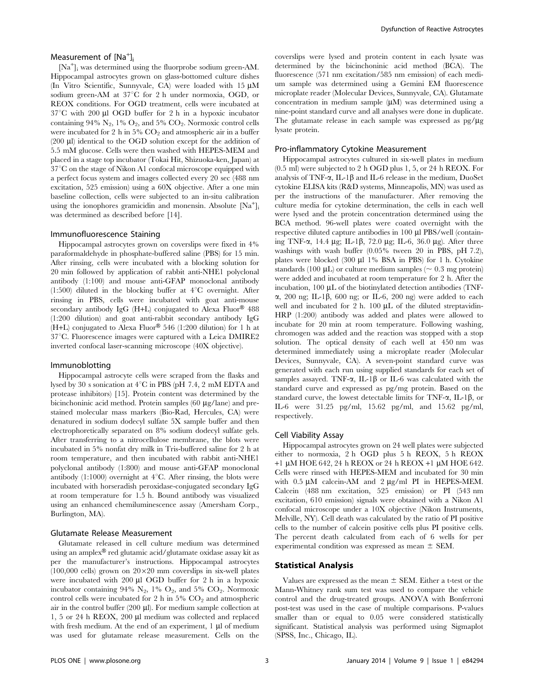# Measurement of  $[Na<sup>+</sup>]$ <sub>i</sub>

[Na<sup>+</sup> ]i was determined using the fluorprobe sodium green-AM. Hippocampal astrocytes grown on glass-bottomed culture dishes (In Vitro Scientific, Sunnyvale, CA) were loaded with 15  $\mu$ M sodium green-AM at 37°C for 2 h under normoxia, OGD, or REOX conditions. For OGD treatment, cells were incubated at  $37^{\circ}$ C with 200 µl OGD buffer for 2 h in a hypoxic incubator containing 94%  $N_2$ , 1%  $O_2$ , and 5%  $CO_2$ . Normoxic control cells were incubated for 2 h in  $5\%$  CO<sub>2</sub> and atmospheric air in a buffer  $(200 \mu l)$  identical to the OGD solution except for the addition of 5.5 mM glucose. Cells were then washed with HEPES-MEM and placed in a stage top incubator (Tokai Hit, Shizuoka-ken, Japan) at  $37^{\circ}$ C on the stage of Nikon A1 confocal microscope equipped with a perfect focus system and images collected every 20 sec (488 nm excitation, 525 emission) using a 60X objective. After a one min baseline collection, cells were subjected to an in-situ calibration using the ionophores gramicidin and monensin. Absolute [Na<sup>+</sup>]<sub>i</sub> was determined as described before [14].

#### Immunofluorescence Staining

Hippocampal astrocytes grown on coverslips were fixed in 4% paraformaldehyde in phosphate-buffered saline (PBS) for 15 min. After rinsing, cells were incubated with a blocking solution for 20 min followed by application of rabbit anti-NHE1 polyclonal antibody (1:100) and mouse anti-GFAP monoclonal antibody (1:500) diluted in the blocking buffer at  $4^{\circ}$ C overnight. After rinsing in PBS, cells were incubated with goat anti-mouse secondary antibody IgG (H+L) conjugated to Alexa Fluor®  $488$ (1:200 dilution) and goat anti-rabbit secondary antibody IgG  $(H+L)$  conjugated to Alexa Fluor<sup>®</sup> 546 (1:200 dilution) for 1 h at  $37^{\circ}$ C. Fluorescence images were captured with a Leica DMIRE2 inverted confocal laser-scanning microscope (40X objective).

# Immunoblotting

Hippocampal astrocyte cells were scraped from the flasks and lysed by 30 s sonication at  $4^{\circ}\mathrm{C}$  in PBS (pH 7.4, 2 mM EDTA and protease inhibitors) [15]. Protein content was determined by the bicinchoninic acid method. Protein samples (60 µg/lane) and prestained molecular mass markers (Bio-Rad, Hercules, CA) were denatured in sodium dodecyl sulfate 5X sample buffer and then electrophoretically separated on 8% sodium dodecyl sulfate gels. After transferring to a nitrocellulose membrane, the blots were incubated in 5% nonfat dry milk in Tris-buffered saline for 2 h at room temperature, and then incubated with rabbit anti-NHE1 polyclonal antibody (1:800) and mouse anti-GFAP monoclonal antibody  $(1:1000)$  overnight at  $4^{\circ}$ C. After rinsing, the blots were incubated with horseradish peroxidase-conjugated secondary IgG at room temperature for 1.5 h. Bound antibody was visualized using an enhanced chemiluminescence assay (Amersham Corp., Burlington, MA).

#### Glutamate Release Measurement

Glutamate released in cell culture medium was determined using an amplex® red glutamic acid/glutamate oxidase assay kit as per the manufacturer's instructions. Hippocampal astrocytes (100,000 cells) grown on  $20\times20$  mm coverslips in six-well plates were incubated with  $200 \mu l$  OGD buffer for 2 h in a hypoxic incubator containing  $94\%$  N<sub>2</sub>,  $1\%$  O<sub>2</sub>, and  $5\%$  CO<sub>2</sub>. Normoxic control cells were incubated for 2 h in 5%  $CO<sub>2</sub>$  and atmospheric air in the control buffer (200  $\mu$ l). For medium sample collection at 1, 5 or 24 h REOX, 200 µl medium was collected and replaced with fresh medium. At the end of an experiment,  $1 \mu l$  of medium was used for glutamate release measurement. Cells on the coverslips were lysed and protein content in each lysate was determined by the bicinchoninic acid method (BCA). The fluorescence (571 nm excitation/585 nm emission) of each medium sample was determined using a Gemini EM fluorescence microplate reader (Molecular Devices, Sunnyvale, CA). Glutamate concentration in medium sample  $(\mu M)$  was determined using a nine-point standard curve and all analyses were done in duplicate. The glutamate release in each sample was expressed as  $pg/\mu g$ lysate protein.

#### Pro-inflammatory Cytokine Measurement

Hippocampal astrocytes cultured in six-well plates in medium (0.5 ml) were subjected to 2 h OGD plus 1, 5, or 24 h REOX. For analysis of TNF- $\alpha$ , IL-1 $\beta$  and IL-6 release in the medium, DuoSet cytokine ELISA kits (R&D systems, Minneapolis, MN) was used as per the instructions of the manufacturer. After removing the culture media for cytokine determination, the cells in each well were lysed and the protein concentration determined using the BCA method. 96-well plates were coated overnight with the respective diluted capture antibodies in 100 ul PBS/well (containing TNF- $\alpha$ , 14.4  $\mu$ g; IL-1 $\beta$ , 72.0  $\mu$ g; IL-6, 36.0  $\mu$ g). After three washings with wash buffer (0.05% tween 20 in PBS, pH 7.2), plates were blocked (300 ul 1% BSA in PBS) for 1 h. Cytokine standards (100  $\mu$ L) or culture medium samples ( $\sim$  0.3 mg protein) were added and incubated at room temperature for 2 h. After the incubation, 100 µL of the biotinylated detection antibodies (TNF- $\alpha$ , 200 ng; IL-1B, 600 ng; or IL-6, 200 ng) were added to each well and incubated for  $2 h$ . 100  $\mu$ L of the diluted streptavidin-HRP (1:200) antibody was added and plates were allowed to incubate for 20 min at room temperature. Following washing, chromogen was added and the reaction was stopped with a stop solution. The optical density of each well at 450 nm was determined immediately using a microplate reader (Molecular Devices, Sunnyvale, CA). A seven-point standard curve was generated with each run using supplied standards for each set of samples assayed. TNF- $\alpha$ , IL-1 $\beta$  or IL-6 was calculated with the standard curve and expressed as pg/mg protein. Based on the standard curve, the lowest detectable limits for TNF- $\alpha$ , IL-1 $\beta$ , or IL-6 were 31.25 pg/ml, 15.62 pg/ml, and 15.62 pg/ml, respectively.

#### Cell Viability Assay

Hippocampal astrocytes grown on 24 well plates were subjected either to normoxia, 2 h OGD plus 5 h REOX, 5 h REOX  $+1$  µM HOE 642, 24 h REOX or 24 h REOX  $+1$  µM HOE 642. Cells were rinsed with HEPES-MEM and incubated for 30 min with  $0.5 \mu M$  calcein-AM and  $2 \mu g/ml$  PI in HEPES-MEM. Calcein (488 nm excitation, 525 emission) or PI (543 nm excitation, 610 emission) signals were obtained with a Nikon A1 confocal microscope under a 10X objective (Nikon Instruments, Melville, NY). Cell death was calculated by the ratio of PI positive cells to the number of calcein positive cells plus PI positive cells. The percent death calculated from each of 6 wells for per experimental condition was expressed as mean  $\pm$  SEM.

# Statistical Analysis

Values are expressed as the mean  $\pm$  SEM. Either a t-test or the Mann-Whitney rank sum test was used to compare the vehicle control and the drug-treated groups. ANOVA with Bonferroni post-test was used in the case of multiple comparisons. P-values smaller than or equal to 0.05 were considered statistically significant. Statistical analysis was performed using Sigmaplot (SPSS, Inc., Chicago, IL).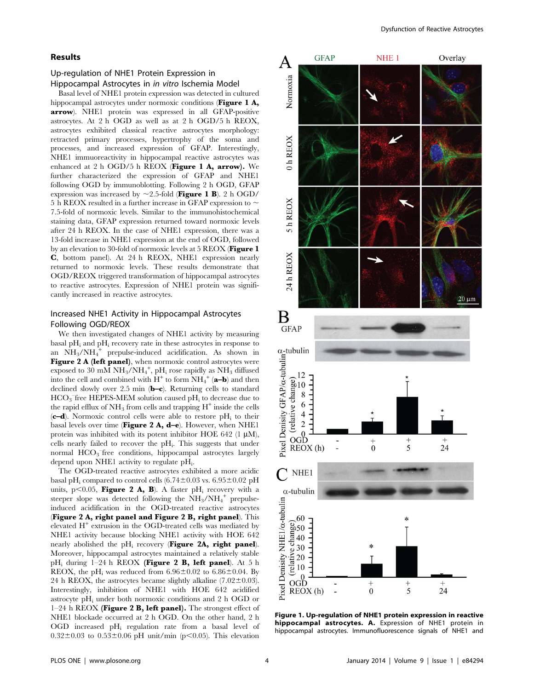#### Results

# Up-regulation of NHE1 Protein Expression in Hippocampal Astrocytes in in vitro Ischemia Model

Basal level of NHE1 protein expression was detected in cultured hippocampal astrocytes under normoxic conditions (Figure 1 A, arrow). NHE1 protein was expressed in all GFAP-positive astrocytes. At 2 h OGD as well as at 2 h OGD/5 h REOX, astrocytes exhibited classical reactive astrocytes morphology: retracted primary processes, hypertrophy of the soma and processes, and increased expression of GFAP. Interestingly, NHE1 immuoreactivity in hippocampal reactive astrocytes was enhanced at 2 h OGD/5 h REOX (Figure 1 A, arrow). We further characterized the expression of GFAP and NHE1 following OGD by immunoblotting. Following 2 h OGD, GFAP expression was increased by  $\sim$  2.5-fold (Figure 1 B). 2 h OGD/ 5 h REOX resulted in a further increase in GFAP expression to  $\sim$ 7.5-fold of normoxic levels. Similar to the immunohistochemical staining data, GFAP expression returned toward normoxic levels after 24 h REOX. In the case of NHE1 expression, there was a 13-fold increase in NHE1 expression at the end of OGD, followed by an elevation to 30-fold of normoxic levels at 5 REOX (Figure 1 C, bottom panel). At 24 h REOX, NHE1 expression nearly returned to normoxic levels. These results demonstrate that OGD/REOX triggered transformation of hippocampal astrocytes to reactive astrocytes. Expression of NHE1 protein was significantly increased in reactive astrocytes.

# Increased NHE1 Activity in Hippocampal Astrocytes Following OGD/REOX

We then investigated changes of NHE1 activity by measuring basal  $pH_i$  and  $pH_i$  recovery rate in these astrocytes in response to an  $NH_3/NH_4^+$  prepulse-induced acidification. As shown in Figure 2 A (left panel), when normoxic control astrocytes were exposed to 30 mM  $NH_3/NH_4^+$ , pH<sub>i</sub> rose rapidly as NH<sub>3</sub> diffused into the cell and combined with  $H^+$  to form  $NH_4^+$  (a-b) and then declined slowly over 2.5 min (b–c). Returning cells to standard HCO<sub>3</sub> free HEPES-MEM solution caused pH<sub>i</sub> to decrease due to the rapid efflux of  $NH_3$  from cells and trapping  $H^+$  inside the cells  $(c-d)$ . Normoxic control cells were able to restore pH<sub>i</sub> to their basal levels over time (Figure 2 A, d-e). However, when NHE1 protein was inhibited with its potent inhibitor HOE 642 (1  $\mu$ M), cells nearly failed to recover the pH<sub>i</sub>. This suggests that under normal HCO<sub>3</sub> free conditions, hippocampal astrocytes largely depend upon NHE1 activity to regulate pH<sub>i</sub>.

The OGD-treated reactive astrocytes exhibited a more acidic basal pH<sub>i</sub> compared to control cells  $(6.74\pm0.03 \text{ vs. } 6.95\pm0.02 \text{ pH})$ units, p $\leq$ 0.05, **Figure 2 A, B**). A faster pH<sub>i</sub> recovery with a steeper slope was detected following the  $NH_3/NH_4^+$  prepulseinduced acidification in the OGD-treated reactive astrocytes (Figure 2 A, right panel and Figure 2 B, right panel). This elevated  $H^+$  extrusion in the OGD-treated cells was mediated by NHE1 activity because blocking NHE1 activity with HOE 642 nearly abolished the  $pH_i$  recovery (Figure 2A, right panel). Moreover, hippocampal astrocytes maintained a relatively stable pH<sub>i</sub> during  $1-24$  h REOX (**Figure 2 B, left panel**). At 5 h REOX, the pH<sub>i</sub> was reduced from  $6.96\pm0.02$  to  $6.86\pm0.04$ . By 24 h REOX, the astrocytes became slightly alkaline  $(7.02 \pm 0.03)$ . Interestingly, inhibition of NHE1 with HOE 642 acidified astrocyte  $pH_i$  under both normoxic conditions and 2 h OGD or  $1-24$  h REOX (Figure 2 B, left panel). The strongest effect of NHE1 blockade occurred at 2 h OGD. On the other hand, 2 h OGD increased pHi regulation rate from a basal level of  $0.32 \pm 0.03$  to  $0.53 \pm 0.06$  pH unit/min (p<0.05). This elevation



Figure 1. Up-regulation of NHE1 protein expression in reactive hippocampal astrocytes. A. Expression of NHE1 protein in hippocampal astrocytes. Immunofluorescence signals of NHE1 and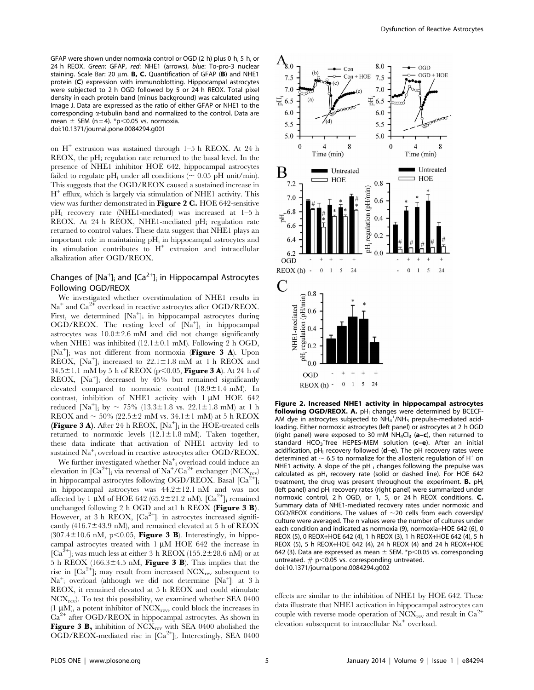GFAP were shown under normoxia control or OGD (2 h) plus 0 h, 5 h, or 24 h REOX. Green: GFAP, red: NHE1 (arrows), blue: To-pro-3 nuclear staining. Scale Bar: 20  $\mu$ m. **B, C.** Quantification of GFAP (**B**) and NHE1 protein (C) expression with immunoblotting. Hippocampal astrocytes were subjected to 2 h OGD followed by 5 or 24 h REOX. Total pixel density in each protein band (minus background) was calculated using Image J. Data are expressed as the ratio of either GFAP or NHE1 to the corresponding  $\alpha$ -tubulin band and normalized to the control. Data are mean  $\pm$  SEM (n = 4). \*p<0.05 vs. normoxia. doi:10.1371/journal.pone.0084294.g001

on  $H^+$  extrusion was sustained through 1–5 h REOX. At 24 h  $REOX$ , the pH<sub>i</sub> regulation rate returned to the basal level. In the presence of NHE1 inhibitor HOE 642, hippocampal astrocytes failed to regulate pH<sub>i</sub> under all conditions ( $\sim 0.05$  pH unit/min). This suggests that the OGD/REOX caused a sustained increase in  $H^+$  efflux, which is largely via stimulation of NHE1 activity. This view was further demonstrated in Figure 2 C. HOE 642-sensitive pHi recovery rate (NHE1-mediated) was increased at 1–5 h REOX. At 24 h REOX, NHE1-mediated  $pH_i$  regulation rate returned to control values. These data suggest that NHE1 plays an important role in maintaining  $pH_i$  in hippocampal astrocytes and its stimulation contributes to  $H^+$  extrusion and intracellular alkalization after OGD/REOX.

# Changes of  $[Na^+]$ <sub>i</sub> and  $[Ca^{2+}]$ <sub>i</sub> in Hippocampal Astrocytes Following OGD/REOX

We investigated whether overstimulation of NHE1 results in  $Na<sup>+</sup>$  and  $Ca<sup>2+</sup>$  overload in reactive astrocytes after OGD/REOX. First, we determined [Na<sup>+</sup>]<sub>i</sub> in hippocampal astrocytes during OGD/REOX. The resting level of [Na<sup>+</sup>]<sub>i</sub> in hippocampal astrocytes was  $10.0\pm2.6$  mM and did not change significantly when NHE1 was inhibited  $(12.1 \pm 0.1 \text{ mM})$ . Following 2 h OGD, [Na<sup>+</sup>]<sub>i</sub> was not different from normoxia (Figure 3 A). Upon REOX,  $[Na^+]$ <sub>i</sub> increased to 22.1±1.8 mM at 1 h REOX and  $34.5 \pm 1.1$  mM by 5 h of REOX (p<0.05, **Figure 3 A**). At 24 h of REOX, [Na<sup>+</sup> ]i decreased by 45% but remained significantly elevated compared to normoxic control  $(18.9 \pm 1.4 \text{ mM})$ . In contrast, inhibition of NHE1 activity with 1 uM HOE 642 reduced [Na<sup>+</sup>]<sub>i</sub> by ~ 75% (13.3±1.8 vs. 22.1±1.8 mM) at 1 h REOX and  $\sim$  50% (22.5±2 mM vs. 34.1±1 mM) at 5 h REOX **(Figure 3 A).** After 24 h REOX,  $[Na^+]$ ; in the HOE-treated cells returned to normoxic levels  $(12.1 \pm 1.8 \text{ mM})$ . Taken together, these data indicate that activation of NHE1 activity led to sustained Na<sup>+</sup><sub>i</sub> overload in reactive astrocytes after OGD/REOX.

We further investigated whether  $Na<sup>+</sup><sub>i</sub>$  overload could induce an elevation in  $\left[\text{Ca}^{2+}\right]$ <sub>i</sub> via reversal of Na<sup>+</sup>/Ca<sup>2+</sup> exchanger (NCX<sub>rev</sub>) in hippocampal astrocytes following OGD/REOX. Basal  $\text{[Ca}^{\frac{2}{1}}\text{]}$ in hippocampal astrocytes was  $44.2 \pm 12.1$  nM and was not affected by 1  $\mu$ M of HOE 642 (65.2±21.2 nM). [Ca<sup>2+</sup>]<sub>i</sub> remained unchanged following 2 h OGD and at1 h REOX (Figure  $3 \text{ B}$ ). However, at 3 h REOX, [Ca<sup>2+</sup>]<sub>i</sub> in astrocytes increased significantly (416.7 $\pm$ 43.9 nM), and remained elevated at 5 h of REOX  $(307.4 \pm 10.6 \text{ nM}, \text{p} < 0.05, \text{Figure 3 B})$ . Interestingly, in hippocampal astrocytes treated with  $1 \mu M$  HOE 642 the increase in  $[Ca^{2+}$ ]<sub>i</sub> was much less at either 3 h REOX (155.2±28.6 nM) or at 5 h REOX (166.3 $\pm$ 4.5 nM, Figure 3 B). This implies that the rise in  $[\text{Ca}^{2+}]$ <sub>i</sub> may result from increased NCX<sub>rev</sub> subsequent to Na<sup>+</sup> <sup>i</sup> overload (although we did not determine [Na<sup>+</sup> ]i at 3 h REOX, it remained elevated at 5 h REOX and could stimulate  $NCX<sub>rev</sub>$ ). To test this possibility, we examined whether SEA 0400 (1  $\mu$ M), a potent inhibitor of NCX<sub>rev</sub>, could block the increases in  $Ca<sup>2+</sup>$  after OGD/REOX in hippocampal astrocytes. As shown in Figure 3 B, inhibition of  $NCX<sub>rev</sub>$  with SEA 0400 abolished the OGD/REOX-mediated rise in [Ca<sup>2+</sup>]<sub>i</sub>. Interestingly, SEA 0400



Figure 2. Increased NHE1 activity in hippocampal astrocytes following OGD/REOX. A.  $pH_i$  changes were determined by BCECF-AM dye in astrocytes subjected to  $NH_4^+/NH_3$  prepulse-mediated acidloading. Either normoxic astrocytes (left panel) or astrocytes at 2 h OGD (right panel) were exposed to 30 mM  $NH_4Cl_3$  (a–c), then returned to standard HCO<sub>3</sub> free HEPES-MEM solution (c-e). After an initial acidification,  $pH_i$  recovery followed ( $d-e$ ). The  $pH$  recovery rates were determined at  $\sim$  6.5 to normalize for the allosteric regulation of H<sup>+</sup> on NHE1 activity. A slope of the  $pH_i$  changes following the prepulse was calculated as pH<sub>i</sub> recovery rate (solid or dashed line). For HOE 642 treatment, the drug was present throughout the experiment. **B.**  $pH_i$ (left panel) and pH<sub>i</sub> recovery rates (right panel) were summarized under normoxic control, 2 h OGD, or 1, 5, or 24 h REOX conditions. C. Summary data of NHE1-mediated recovery rates under normoxic and OGD/REOX conditions. The values of  $\sim$ 20 cells from each coverslip/ culture were averaged. The n values were the number of cultures under each condition and indicated as normoxia (9), normoxia+HOE 642 (6), 0 REOX (5), 0 REOX+HOE 642 (4), 1 h REOX (3), 1 h REOX+HOE 642 (4), 5 h REOX (5), 5 h REOX+HOE 642 (4), 24 h REOX (4) and 24 h REOX+HOE 642 (3). Data are expressed as mean  $\pm$  SEM. \*p $<$ 0.05 vs. corresponding untreated.  $# p<0.05$  vs. corresponding untreated. doi:10.1371/journal.pone.0084294.g002

effects are similar to the inhibition of NHE1 by HOE 642. These data illustrate that NHE1 activation in hippocampal astrocytes can couple with reverse mode operation of  $NCX_{rev}$  and result in  $Ca^{2+}$ elevation subsequent to intracellular Na<sup>+</sup> overload.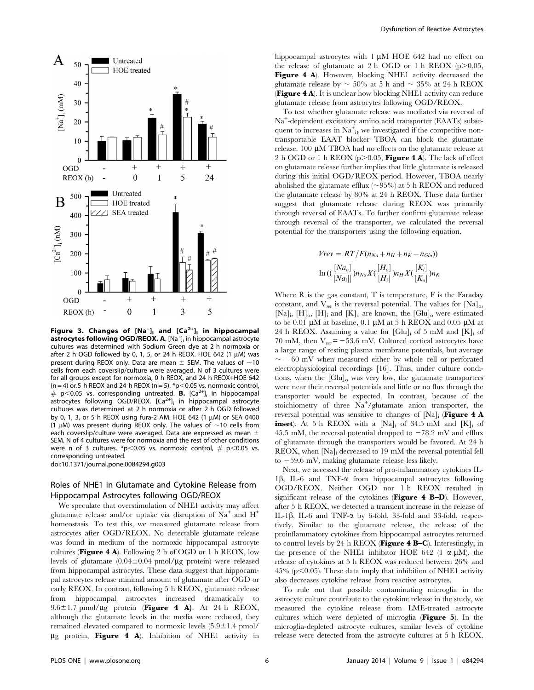

Figure 3. Changes of  $[Na^+]_i$  and  $[Ca^{2+}]_i$  in hippocampal astrocytes following OGD/REOX. A. [Na<sup>+</sup>]<sub>i</sub> in hippocampal astrocyte cultures was determined with Sodium Green dye at 2 h normoxia or after 2 h OGD followed by 0, 1, 5, or 24 h REOX. HOE 642 (1  $\mu$ M) was present during REOX only. Data are mean  $\pm$  SEM. The values of  $\sim$ 10 cells from each coverslip/culture were averaged. N of 3 cultures were for all groups except for normoxia, 0 h REOX, and 24 h REOX+HOE 642 (n = 4) or.5 h REOX and 24 h REOX (n = 5).  $*p$  < 0.05 vs. normoxic control,  $# p<0.05$  vs. corresponding untreated. **B.** [Ca<sup>2+</sup>]<sub>i</sub> in hippocampal  $a$ strocytes following OGD/REOX.  $[Ca^{2+}]_i$  in hippocampal astrocyte cultures was determined at 2 h normoxia or after 2 h OGD followed by 0, 1, 3, or 5 h REOX using fura-2 AM. HOE 642 (1  $\mu$ M) or SEA 0400 (1  $\mu$ M) was present during REOX only. The values of  $\sim$ 10 cells from each coverslip/culture were averaged. Data are expressed as mean  $\pm$ SEM. N of 4 cultures were for normoxia and the rest of other conditions were n of 3 cultures. \*p<0.05 vs. normoxic control,  $#$  p<0.05 vs. corresponding untreated.

doi:10.1371/journal.pone.0084294.g003

# Roles of NHE1 in Glutamate and Cytokine Release from Hippocampal Astrocytes following OGD/REOX

We speculate that overstimulation of NHE1 activity may affect glutamate release and/or uptake via disruption of  $Na<sup>+</sup>$  and  $H<sup>+</sup>$ homeostasis. To test this, we measured glutamate release from astrocytes after OGD/REOX. No detectable glutamate release was found in medium of the normoxic hippocampal astrocyte cultures (**Figure 4 A**). Following 2 h of OGD or 1 h REOX, low levels of glutamate  $(0.04 \pm 0.04 \text{ pmol}/\mu\text{g}$  protein) were released from hippocampal astrocytes. These data suggest that hippocampal astrocytes release minimal amount of glutamate after OGD or early REOX. In contrast, following 5 h REOX, glutamate release from hippocampal astrocytes increased dramatically to  $9.6 \pm 1.7$  pmol/ $\mu$ g protein (Figure 4 A). At 24 h REOX, although the glutamate levels in the media were reduced, they remained elevated compared to normoxic levels  $(5.9 \pm 1.4 \text{ pmol})$  $\mu$ g protein, Figure 4 A). Inhibition of NHE1 activity in hippocampal astrocytes with  $1 \mu M$  HOE 642 had no effect on the release of glutamate at 2 h OGD or 1 h REOX  $(p>0.05$ , Figure 4 A). However, blocking NHE1 activity decreased the glutamate release by  $\sim 50\%$  at 5 h and  $\sim 35\%$  at 24 h REOX (Figure 4 A). It is unclear how blocking NHE1 activity can reduce glutamate release from astrocytes following OGD/REOX.

To test whether glutamate release was mediated via reversal of Na<sup>+</sup> -dependent excitatory amino acid transporter (EAATs) subsequent to increases in  $\mathrm{Na}^+$ ; we investigated if the competitive nontransportable EAAT blocker TBOA can block the glutamate release. 100 µM TBOA had no effects on the glutamate release at 2 h OGD or 1 h REOX ( $p$ >0.05, **Figure 4 A**). The lack of effect on glutamate release further implies that little glutamate is released during this initial OGD/REOX period. However, TBOA nearly abolished the glutamate efflux  $(\sim 95\%)$  at 5 h REOX and reduced the glutamate release by 80% at 24 h REOX. These data further suggest that glutamate release during REOX was primarily through reversal of EAATs. To further confirm glutamate release through reversal of the transporter, we calculated the reversal potential for the transporters using the following equation.

$$
Vrev = RT/F(n_{Na} + n_{H} + n_{K} - n_{Glu}))
$$

$$
\ln((\frac{[Na_{o}]}{[Na_{i}]})n_{Na}X(\frac{[H_{o}]}{[H_{i}]})n_{H}X(\frac{[K_{i}]}{[K_{o}]})n_{K})
$$

Where  $R$  is the gas constant,  $T$  is temperature,  $F$  is the Faraday constant, and  $V_{rev}$  is the reversal potential. The values for [Na]<sub>0</sub>, [Na]<sub>i</sub>, [H]<sub>o</sub>, [H]<sub>i</sub> and [K]<sub>o</sub> are known, the [Glu]<sub>o</sub> were estimated to be 0.01  $\mu$ M at baseline, 0.1  $\mu$ M at 5 h REOX and 0.05  $\mu$ M at 24 h REOX. Assuming a value for  $[G|u]_i$  of 5 mM and  $[K]_i$  of 70 mM, then  $V_{rev}$  = -53.6 mV. Cultured cortical astrocytes have a large range of resting plasma membrane potentials, but average  $\sim -60$  mV when measured either by whole cell or perforated electrophysiological recordings [16]. Thus, under culture conditions, when the  $[G]_0$  was very low, the glutamate transporters were near their reversal potentials and little or no flux through the transporter would be expected. In contrast, because of the stoichiometry of three Na<sup>+</sup>/glutamate anion transporter, the reversal potential was sensitive to changes of  $[Na]_i$  (Figure 4 A inset). At 5 h REOX with a  $[Na]_i$  of 34.5 mM and  $[K]_i$  of 45.5 mM, the reversal potential dropped to  $-78.2$  mV and efflux of glutamate through the transporters would be favored. At 24 h REOX, when [Na]i decreased to 19 mM the reversal potential fell to  $-59.6$  mV, making glutamate release less likely.

Next, we accessed the release of pro-inflammatory cytokines IL-1 $\beta$ , IL-6 and TNF- $\alpha$  from hippocampal astrocytes following OGD/REOX. Neither OGD nor 1 h REOX resulted in significant release of the cytokines (Figure 4 B-D). However, after 5 h REOX, we detected a transient increase in the release of IL-1 $\beta$ , IL-6 and TNF- $\alpha$  by 6-fold, 33-fold and 33-fold, respectively. Similar to the glutamate release, the release of the proinflammatory cytokines from hippocampal astrocytes returned to control levels by 24 h REOX (Figure 4 B–C). Interestingly, in the presence of the NHE1 inhibitor HOE 642 (1  $\alpha \mu$ M), the release of cytokines at 5 h REOX was reduced between 26% and  $45\%$  (p $<$ 0.05). These data imply that inhibition of NHE1 activity also decreases cytokine release from reactive astrocytes.

To rule out that possible contaminating microglia in the astrocyte culture contribute to the cytokine release in the study, we measured the cytokine release from LME-treated astrocyte cultures which were depleted of microglia (Figure 5). In the microglia-depleted astrocyte cultures, similar levels of cytokine release were detected from the astrocyte cultures at 5 h REOX.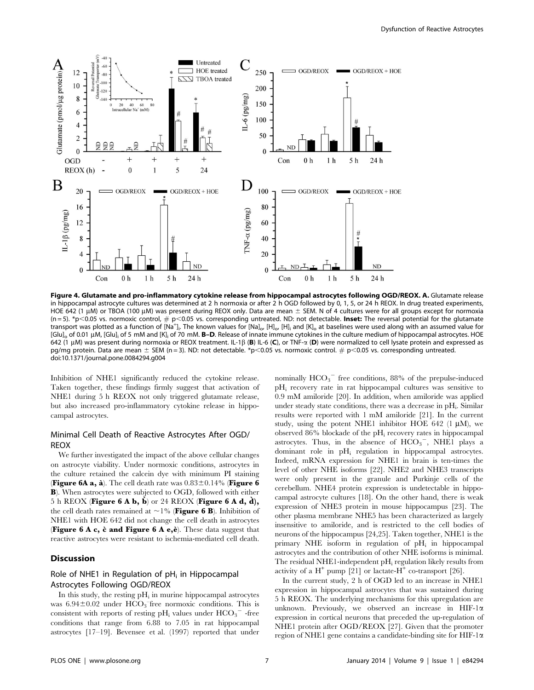

Figure 4. Glutamate and pro-inflammatory cytokine release from hippocampal astrocytes following OGD/REOX. A. Glutamate release in hippocampal astrocyte cultures was determined at 2 h normoxia or after 2 h OGD followed by 0, 1, 5, or 24 h REOX. In drug treated experiments, HOE 642 (1 uM) or TBOA (100 uM) was present during REOX only. Data are mean  $\pm$  SEM. N of 4 cultures were for all groups except for normoxia  $(n = 5)$ . \*p<0.05 vs. normoxic control,  $\#$  p<0.05 vs. corresponding untreated. ND: not detectable. Inset: The reversal potential for the glutamate transport was plotted as a function of [Na<sup>+</sup>]. The known values for [Na]<sub>o</sub>, [H]<sub>o</sub>, [H]<sub>i</sub> and [K]<sub>o</sub> at baselines were used along with an assumed value for [Glu]<sub>o</sub> of 0.01 µM, [Glu]<sub>i</sub> of 5 mM and [K]<sub>i</sub> of 70 mM. **B-D**. Release of innate immune cytokines in the culture medium of hippocampal astrocytes. HOE 642 (1 µM) was present during normoxia or REOX treatment. IL-1 $\beta$  (B) IL-6 (C), or TNF- $\alpha$  (D) were normalized to cell lysate protein and expressed as pg/mg protein. Data are mean  $\pm$  SEM (n = 3). ND: not detectable. \*p<0.05 vs. normoxic control. # p<0.05 vs. corresponding untreated. doi:10.1371/journal.pone.0084294.g004

Inhibition of NHE1 significantly reduced the cytokine release. Taken together, these findings firmly suggest that activation of NHE1 during 5 h REOX not only triggered glutamate release, but also increased pro-inflammatory cytokine release in hippocampal astrocytes.

# Minimal Cell Death of Reactive Astrocytes After OGD/ REOX

We further investigated the impact of the above cellular changes on astrocyte viability. Under normoxic conditions, astrocytes in the culture retained the calcein dye with minimum PI staining **(Figure 6A a, à).** The cell death rate was  $0.83\pm0.14\%$  (Figure 6) B). When astrocytes were subjected to OGD, followed with either 5 h REOX (Figure 6 A b, b) or 24 REOX (Figure 6 A d, d), the cell death rates remained at  $\sim$  1% (**Figure 6 B**). Inhibition of NHE1 with HOE 642 did not change the cell death in astrocytes (Figure 6 A c,  $\dot{c}$  and Figure 6 A e, $\dot{e}$ ). These data suggest that reactive astrocytes were resistant to ischemia-mediated cell death.

# Discussion

# Role of NHE1 in Regulation of  $pH_i$  in Hippocampal Astrocytes Following OGD/REOX

In this study, the resting  $pH_i$  in murine hippocampal astrocytes was  $6.94 \pm 0.02$  under  $\overline{HCO_3}$  free normoxic conditions. This is consistent with reports of resting pH<sub>i</sub> values under  $\mathrm{HCO_3}^-$  -free conditions that range from 6.88 to 7.05 in rat hippocampal astrocytes [17–19]. Bevensee et al. (1997) reported that under

nominally  $HCO_3$ <sup>-</sup> free conditions, 88% of the prepulse-induced pH<sub>i</sub> recovery rate in rat hippocampal cultures was sensitive to 0.9 mM amiloride [20]. In addition, when amiloride was applied under steady state conditions, there was a decrease in  $pH_i$ . Similar results were reported with 1 mM amiloride [21]. In the current study, using the potent NHE1 inhibitor HOE 642 (1  $\mu$ M), we observed 86% blockade of the  $\rm pH_{i}$  recovery rates in hippocampal astrocytes. Thus, in the absence of  $HCO_3^-$ , NHE1 plays a dominant role in pHi regulation in hippocampal astrocytes. Indeed, mRNA expression for NHE1 in brain is ten-times the level of other NHE isoforms [22]. NHE2 and NHE3 transcripts were only present in the granule and Purkinje cells of the cerebellum. NHE4 protein expression is undetectable in hippocampal astrocyte cultures [18]. On the other hand, there is weak expression of NHE3 protein in mouse hippocampus [23]. The other plasma membrane NHE5 has been characterized as largely insensitive to amiloride, and is restricted to the cell bodies of neurons of the hippocampus [24,25]. Taken together, NHE1 is the primary NHE isoform in regulation of  $pH_i$  in hippocampal astrocytes and the contribution of other NHE isoforms is minimal. The residual NHE1-independent  $pH_i$  regulation likely results from activity of a  $H^+$  pump [21] or lactate- $H^+$  co-transport [26].

In the current study, 2 h of OGD led to an increase in NHE1 expression in hippocampal astrocytes that was sustained during 5 h REOX. The underlying mechanisms for this upregulation are unknown. Previously, we observed an increase in HIF-1 $\alpha$ expression in cortical neurons that preceded the up-regulation of NHE1 protein after OGD/REOX [27]. Given that the promoter region of NHE1 gene contains a candidate-binding site for HIF-1 $\alpha$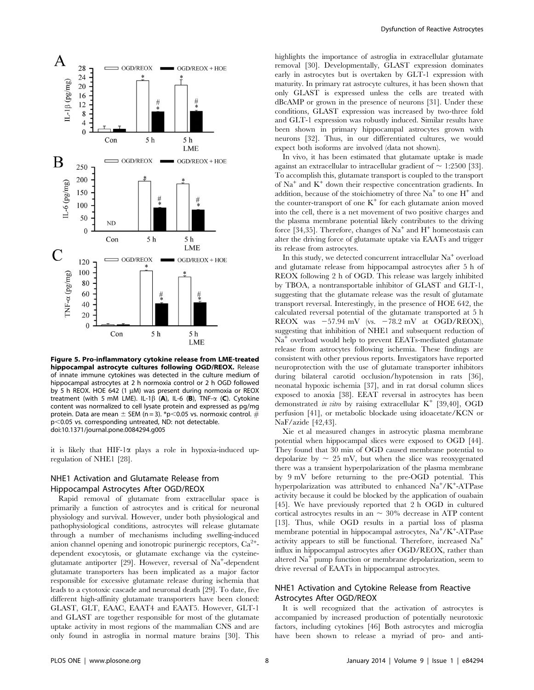

Figure 5. Pro-inflammatory cytokine release from LME-treated hippocampal astrocyte cultures following OGD/REOX. Release of innate immune cytokines was detected in the culture medium of hippocampal astrocytes at 2 h normoxia control or 2 h OGD followed by 5 h REOX. HOE 642 (1  $\mu$ M) was present during normoxia or REOX treatment (with 5 mM LME). IL-1 $\beta$  (A), IL-6 (B), TNF- $\alpha$  (C). Cytokine content was normalized to cell lysate protein and expressed as pg/mg protein. Data are mean  $\pm$  SEM (n = 3). \*p<0.05 vs. normoxic control. # p<0.05 vs. corresponding untreated, ND: not detectable. doi:10.1371/journal.pone.0084294.g005

it is likely that HIF-1 $\alpha$  plays a role in hypoxia-induced upregulation of NHE1 [28].

# NHE1 Activation and Glutamate Release from Hippocampal Astrocytes After OGD/REOX

Rapid removal of glutamate from extracellular space is primarily a function of astrocytes and is critical for neuronal physiology and survival. However, under both physiological and pathophysiological conditions, astrocytes will release glutamate through a number of mechanisms including swelling-induced anion channel opening and ionotropic purinergic receptors,  $Ca^{2+}$ dependent exocytosis, or glutamate exchange via the cysteineglutamate antiporter [29]. However, reversal of Na<sup>+</sup>-dependent glutamate transporters has been implicated as a major factor responsible for excessive glutamate release during ischemia that leads to a cytotoxic cascade and neuronal death [29]. To date, five different high-affinity glutamate transporters have been cloned: GLAST, GLT, EAAC, EAAT4 and EAAT5. However, GLT-1 and GLAST are together responsible for most of the glutamate uptake activity in most regions of the mammalian CNS and are only found in astroglia in normal mature brains [30]. This highlights the importance of astroglia in extracellular glutamate removal [30]. Developmentally, GLAST expression dominates early in astrocytes but is overtaken by GLT-1 expression with maturity. In primary rat astrocyte cultures, it has been shown that only GLAST is expressed unless the cells are treated with dBcAMP or grown in the presence of neurons [31]. Under these conditions, GLAST expression was increased by two-three fold and GLT-1 expression was robustly induced. Similar results have been shown in primary hippocampal astrocytes grown with neurons [32]. Thus, in our differentiated cultures, we would expect both isoforms are involved (data not shown).

In vivo, it has been estimated that glutamate uptake is made against an extracellular to intracellular gradient of  $\sim$  1:2500 [33]. To accomplish this, glutamate transport is coupled to the transport of  $Na<sup>+</sup>$  and  $K<sup>+</sup>$  down their respective concentration gradients. In addition, because of the stoichiometry of three  $Na<sup>+</sup>$  to one  $H<sup>+</sup>$  and the counter-transport of one  $K^+$  for each glutamate anion moved into the cell, there is a net movement of two positive charges and the plasma membrane potential likely contributes to the driving force [34,35]. Therefore, changes of  $Na<sup>+</sup>$  and  $H<sup>+</sup>$  homeostasis can alter the driving force of glutamate uptake via EAATs and trigger its release from astrocytes.

In this study, we detected concurrent intracellular Na<sup>+</sup> overload and glutamate release from hippocampal astrocytes after 5 h of REOX following 2 h of OGD. This release was largely inhibited by TBOA, a nontransportable inhibitor of GLAST and GLT-1, suggesting that the glutamate release was the result of glutamate transport reversal. Interestingly, in the presence of HOE 642, the calculated reversal potential of the glutamate transported at 5 h REOX was  $-57.94$  mV (vs.  $-78.2$  mV at OGD/REOX), suggesting that inhibition of NHE1 and subsequent reduction of Na<sup>+</sup> overload would help to prevent EEATs-mediated glutamate release from astrocytes following ischemia. These findings are consistent with other previous reports. Investigators have reported neuroprotection with the use of glutamate transporter inhibitors during bilateral carotid occlusion/hypotension in rats [36], neonatal hypoxic ischemia [37], and in rat dorsal column slices exposed to anoxia [38]. EEAT reversal in astrocytes has been demonstrated in vitro by raising extracellular  $K^+$  [39,40], OGD perfusion [41], or metabolic blockade using idoacetate/KCN or NaF/azide [42,43].

Xie et al measured changes in astrocytic plasma membrane potential when hippocampal slices were exposed to OGD [44]. They found that 30 min of OGD caused membrane potential to depolarize by  $\sim 25$  mV, but when the slice was reoxygenated there was a transient hyperpolarization of the plasma membrane by 9 mV before returning to the pre-OGD potential. This hyperpolarization was attributed to enhanced Na<sup>+</sup>/K<sup>+</sup>-ATPase activity because it could be blocked by the application of ouabain [45]. We have previously reported that 2 h OGD in cultured cortical astrocytes results in an  $\sim$  30% decrease in ATP content [13]. Thus, while OGD results in a partial loss of plasma membrane potential in hippocampal astrocytes, Na<sup>+</sup>/K<sup>+</sup>-ATPase activity appears to still be functional. Therefore, increased Na<sup>+</sup> influx in hippocampal astrocytes after OGD/REOX, rather than altered  $Na<sup>+</sup>$  pump function or membrane depolarization, seem to drive reversal of EAATs in hippocampal astrocytes.

# NHE1 Activation and Cytokine Release from Reactive Astrocytes After OGD/REOX

It is well recognized that the activation of astrocytes is accompanied by increased production of potentially neurotoxic factors, including cytokines [46] Both astrocytes and microglia have been shown to release a myriad of pro- and anti-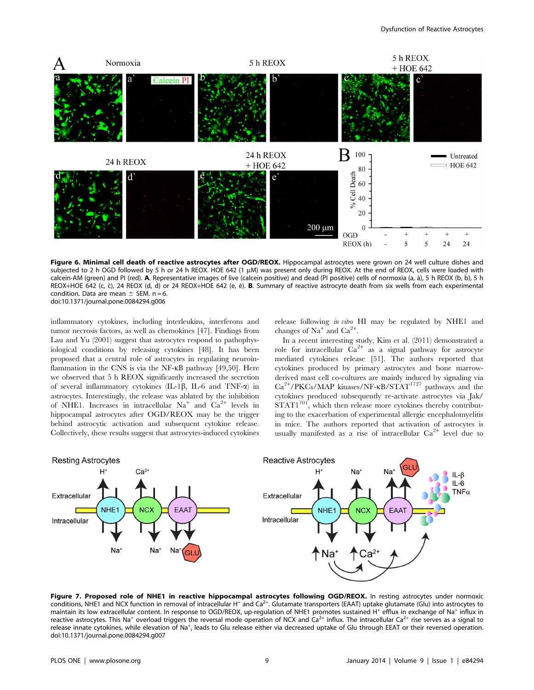

Figure 6. Minimal cell death of reactive astrocytes after OGD/REOX. Hippocampal astrocytes were grown on 24 well culture dishes and subjected to 2 h OGD followed by 5 h or 24 h REOX. HOE 642 (1 µM) was present only during REOX. At the end of REOX, cells were loaded with calcein-AM (green) and PI (red). A. Representative images of live (calcein positive) and dead (PI positive) cells of normoxia (a, à), 5 h REOX (b, b), 5 h REOX+HOE 642 (c, c̀), 24 REOX (d, d̀) or 24 REOX+HOE 642 (e, è). B. Summary of reactive astrocyte death from six wells from each experimental condition. Data are mean  $\pm$  SEM. n = 6. doi:10.1371/journal.pone.0084294.g006

inflammatory cytokines, including interleukins, interferons and tumor necrosis factors, as well as chemokines [47]. Findings from Lau and Yu (2001) suggest that astrocytes respond to pathophysiological conditions by releasing cytokines [48]. It has been proposed that a central role of astrocytes in regulating neuroinflammation in the CNS is via the NF-KB pathway [49,50]. Here we observed that 5 h REOX significantly increased the secretion of several inflammatory cytokines (IL-1 $\beta$ , IL-6 and TNF- $\alpha$ ) in astrocytes. Interestingly, the release was ablated by the inhibition of NHE1. Increases in intracellular  $Na<sup>+</sup>$  and  $Ca<sup>2+</sup>$  levels in hippocampal astrocytes after OGD/REOX may be the trigger behind astrocytic activation and subsequent cytokine release. Collectively, these results suggest that astrocytes-induced cytokines

release following in vitro HI may be regulated by NHE1 and changes of Na<sup>+</sup> and Ca<sup>2+</sup>.

In a recent interesting study, Kim et al. (2011) demonstrated a role for intracellular  $Ca^{2+}$  as a signal pathway for astrocyte mediated cytokines release [51]. The authors reported that cytokines produced by primary astrocytes and bone marrowderived mast cell co-cultures are mainly induced by signaling via Ca<sup>2+</sup>/PKCs/MAP kinases/NF-KB/STAT<sup>1727</sup> pathways and the cytokines produced subsequently re-activate astrocytes via Jak/  $\overrightarrow{STAT1}^{701}$ , which then release more cytokines thereby contributing to the exacerbation of experimental allergic encephalomyelitis in mice. The authors reported that activation of astrocytes is usually manifested as a rise of intracellular  $Ca^{2+}$  level due to



Figure 7. Proposed role of NHE1 in reactive hippocampal astrocytes following OGD/REOX. In resting astrocytes under normoxic conditions, NHE1 and NCX function in removal of intracellular H<sup>+</sup> and Ca<sup>2+</sup>. Glutamate transporters (EAAT) uptake glutamate (Glu) into astrocytes to maintain its low extracellular content. In response to OGD/REOX, up-regulation of NHE1 promotes sustained H<sup>+</sup> efflux in exchange of Na<sup>+</sup> influx in reactive astrocytes. This Na<sup>+</sup> overload triggers the reversal mode operation of NCX and  $Ca^{2+}$  influx. The intracellular  $Ca^{2+}$  rise serves as a signal to release innate cytokines, while elevation of Na<sup>+</sup><sub>i</sub> leads to Glu release either via decreased uptake of Glu through EEAT or their reversed operation. doi:10.1371/journal.pone.0084294.g007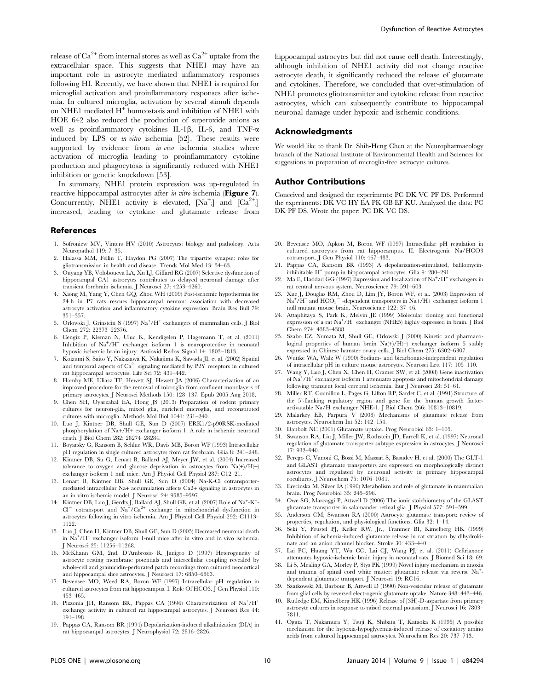release of  $Ca^{2+}$  from internal stores as well as  $Ca^{2+}$  uptake from the extracellular space. This suggests that NHE1 may have an important role in astrocyte mediated inflammatory responses following HI. Recently, we have shown that NHE1 is required for microglial activation and proinflammatory responses after ischemia. In cultured microglia, activation by several stimuli depends on NHE1 mediated H<sup>+</sup> homeostasis and inhibition of NHE1 with HOE 642 also reduced the production of superoxide anions as well as proinflammatory cytokines IL-1 $\beta$ , IL-6, and TNF- $\alpha$ induced by LPS or *in vitro* ischemia [52]. These results were supported by evidence from *in vivo* ischemia studies where activation of microglia leading to proinflammatory cytokine production and phagocytosis is significantly reduced with NHE1 inhibition or genetic knockdown [53].

In summary, NHE1 protein expression was up-regulated in reactive hippocampal astrocytes after *in vitro* ischemia (Figure 7). Concurrently, NHE1 activity is elevated,  $[Na^+]$  and  $[Ca^{2+}]$ increased, leading to cytokine and glutamate release from

#### References

- 1. Sofroniew MV, Vinters HV (2010) Astrocytes: biology and pathology. Acta Neuropathol 119: 7–35.
- 2. Halassa MM, Fellin T, Haydon PG (2007) The tripartite synapse: roles for gliotransmission in health and disease. Trends Mol Med 13: 54–63.
- 3. Ouyang YB, Voloboueva LA, Xu LJ, Giffard RG (2007) Selective dysfunction of hippocampal CA1 astrocytes contributes to delayed neuronal damage after transient forebrain ischemia. J Neurosci 27: 4253–4260.
- 4. Xiong M, Yang Y, Chen GQ, Zhou WH (2009) Post-ischemic hypothermia for 24 h in P7 rats rescues hippocampal neuron: association with decreased astrocyte activation and inflammatory cytokine expression. Brain Res Bull 79: 351–357.
- 5. Orlowski J, Grinstein S (1997) Na<sup>+</sup>/H<sup>+</sup> exchangers of mammalian cells. J Biol Chem 272: 22373–22376.
- 6. Cengiz P, Kleman N, Uluc K, Kendigelen P, Hagemann T, et al. (2011) Inhibition of Na<sup>+</sup>/H<sup>+</sup> exchanger isoform 1 is neuroprotective in neonatal hypoxic ischemic brain injury. Antioxid Redox Signal 14: 1803–1813.
- 7. Koizumi S, Saito Y, Nakazawa K, Nakajima K, Sawada JI, et al. (2002) Spatial and temporal aspects of  $Ca^{2+}$  signaling mediated by P2Y receptors in cultured rat hippocampal astrocytes. Life Sci 72: 431–442.
- 8. Hamby ME, Uliasz TF, Hewett SJ, Hewett JA (2006) Characterization of an improved procedure for the removal of microglia from confluent monolayers of primary astrocytes. J Neurosci Methods 150: 128–137. Epub 2005 Aug 2018.
- 9. Chen SH, Oyarzabal EA, Hong JS (2013) Preparation of rodent primary cultures for neuron-glia, mixed glia, enriched microglia, and reconstituted cultures with microglia. Methods Mol Biol 1041: 231–240.
- 10. Luo J, Kintner DB, Shull GE, Sun D (2007) ERK1/2-p90RSK-mediated phosphorylation of Na+/H+ exchanger isoform 1. A role in ischemic neuronal death. J Biol Chem 282: 28274–28284.
- 11. Boyarsky G, Ransom B, Schlue WR, Davis MB, Boron WF (1993) Intracellular pH regulation in single cultured astrocytes from rat forebrain. Glia 8: 241–248.
- 12. Kintner DB, Su G, Lenart B, Ballard AJ, Meyer JW, et al. (2004) Increased tolerance to oxygen and glucose deprivation in astrocytes from Na(+)/H(+) exchanger isoform 1 null mice. Am J Physiol Cell Physiol 287: C12–21.
- 13. Lenart B, Kintner DB, Shull GE, Sun D (2004) Na-K-Cl cotransportermediated intracellular Na+ accumulation affects Ca2+ signaling in astrocytes in an in vitro ischemic model. J Neurosci 24: 9585–9597.
- 14. Kintner DB, Luo J, Gerdts J, Ballard AJ, Shull GE, et al. (2007) Role of Na<sup>+</sup>-K<sup>+</sup>- Cl<sup>-</sup> cotransport and Na<sup>+</sup>/Ca<sup>2+</sup> exchange in mitochondrial dysfunction in astrocytes following in vitro ischemia. Am J Physiol Cell Physiol 292: C1113– 1122.
- 15. Luo J, Chen H, Kintner DB, Shull GE, Sun D (2005) Decreased neuronal death in Na<sup>+</sup> /H<sup>+</sup> exchanger isoform 1-null mice after in vitro and in vivo ischemia. J Neurosci 25: 11256–11268.
- 16. McKhann GM, 2nd, D'Ambrosio R, Janigro D (1997) Heterogeneity of astrocyte resting membrane potentials and intercellular coupling revealed by whole-cell and gramicidin-perforated patch recordings from cultured neocortical and hippocampal slice astrocytes. J Neurosci 17: 6850–6863.
- 17. Bevensee MO, Weed RA, Boron WF (1997) Intracellular pH regulation in cultured astrocytes from rat hippocampus. I. Role Of HCO3. J Gen Physiol 110: 453–465.
- 18. Pizzonia JH, Ransom BR, Pappas CA (1996) Characterization of Na<sup>+</sup>/H<sup>+</sup> exchange activity in cultured rat hippocampal astrocytes. J Neurosci Res 44: 191–198.

Dysfunction of Reactive Astrocytes

hippocampal astrocytes but did not cause cell death. Interestingly, although inhibition of NHE1 activity did not change reactive astrocyte death, it significantly reduced the release of glutamate and cytokines. Therefore, we concluded that over-stimulation of NHE1 promotes gliotransmitter and cytokine release from reactive astrocytes, which can subsequently contribute to hippocampal neuronal damage under hypoxic and ischemic conditions.

# Acknowledgments

We would like to thank Dr. Shih-Heng Chen at the Neuropharmacology branch of the National Institute of Environmental Health and Sciences for suggestions in preparation of microglia-free astrocyte cultures.

# Author Contributions

Conceived and designed the experiments: PC DK VC PF DS. Performed the experiments: DK VC HY EA PK GB EF KU. Analyzed the data: PC DK PF DS. Wrote the paper: PC DK VC DS.

- 20. Bevensee MO, Apkon M, Boron WF (1997) Intracellular pH regulation in cultured astrocytes from rat hippocampus. II. Electrogenic Na/HCO3 cotransport. J Gen Physiol 110: 467–483.
- 21. Pappas CA, Ransom BR (1993) A depolarization-stimulated, bafilomycininhibitable H<sup>+</sup> pump in hippocampal astrocytes. Glia 9: 280–291.
- 22. Ma E, Haddad GG (1997) Expression and localization of  $\mathrm{Na^+}/\mathrm{H^+}$  exchangers in rat central nervous system. Neuroscience 79: 591–603.
- 23. Xue J, Douglas RM, Zhou D, Lim JY, Boron WF, et al. (2003) Expression of  $Na^+/H^+$  and  $HCO_3^-$  -dependent transporters in  $Na+/H+$  exchanger isoform 1 null mutant mouse brain. Neuroscience 122: 37–46.
- 24. Attaphitaya S, Park K, Melvin JE (1999) Molecular cloning and functional expression of a rat Na<sup>+</sup>/H<sup>+</sup> exchanger (NHE5) highly expressed in brain. J Biol Chem 274: 4383–4388.
- 25. Szabo EZ, Numata M, Shull GE, Orlowski J (2000) Kinetic and pharmacological properties of human brain Na(+)/H(+) exchanger isoform 5 stably expressed in Chinese hamster ovary cells. J Biol Chem 275: 6302–6307.
- 26. Wuttke WA, Walz W (1990) Sodium- and bicarbonate-independent regulation of intracellular pH in culture mouse astrocytes. Neurosci Lett 117: 105–110.
- 27. Wang Y, Luo J, Chen X, Chen H, Cramer SW, et al. (2008) Gene inactivation of Na<sup>+</sup>/H<sup>+</sup> exchanger isoform 1 attenuates apoptosis and mitochondrial damage following transient focal cerebral ischemia. Eur J Neurosci 28: 51–61.
- 28. Miller RT, Counillon L, Pages G, Lifton RP, Sardet C, et al. (1991) Structure of the 5'-flanking regulatory region and gene for the human growth factoractivatable Na/H exchanger NHE-1. J Biol Chem 266: 10813–10819.
- 29. Malarkey EB, Parpura V (2008) Mechanisms of glutamate release from astrocytes. Neurochem Int 52: 142–154.
- 30. Danbolt NC (2001) Glutamate uptake. Prog Neurobiol 65: 1–105.
- 31. Swanson RA, Liu J, Miller JW, Rothstein JD, Farrell K, et al. (1997) Neuronal regulation of glutamate transporter subtype expression in astrocytes. J Neurosci 17: 932–940.
- 32. Perego C, Vanoni C, Bossi M, Massari S, Basudev H, et al. (2000) The GLT-1 and GLAST glutamate transporters are expressed on morphologically distinct astrocytes and regulated by neuronal activity in primary hippocampal cocultures. J Neurochem 75: 1076–1084.
- 33. Erecinska M, Silver IA (1990) Metabolism and role of glutamate in mammalian brain. Prog Neurobiol 35: 245–296.
- 34. Owe SG, Marcaggi P, Attwell D (2006) The ionic stoichiometry of the GLAST glutamate transporter in salamander retinal glia. J Physiol 577: 591–599.
- 35. Anderson CM, Swanson RA (2000) Astrocyte glutamate transport: review of properties, regulation, and physiological functions. Glia 32: 1–14.
- 36. Seki Y, Feustel PJ, Keller RW, Jr., Tranmer BI, Kimelberg HK (1999) Inhibition of ischemia-induced glutamate release in rat striatum by dihydrokinate and an anion channel blocker. Stroke 30: 433–440.
- 37. Lai PC, Huang YT, Wu CC, Lai CJ, Wang PJ, et al. (2011) Ceftriaxone attenuates hypoxic-ischemic brain injury in neonatal rats. J Biomed Sci 18: 69.
- 38. Li S, Mealing GA, Morley P, Stys PK (1999) Novel injury mechanism in anoxia and trauma of spinal cord white matter: glutamate release via reverse Na<sup>+</sup> dependent glutamate transport. J Neurosci 19: RC16.
- 39. Szatkowski M, Barbour B, Attwell D (1990) Non-vesicular release of glutamate from glial cells by reversed electrogenic glutamate uptake. Nature 348: 443–446.
- 40. Rutledge EM, Kimelberg HK (1996) Release of [3H]-D-aspartate from primary astrocyte cultures in response to raised external potassium. J Neurosci 16: 7803– 7811.
- 19. Pappas CA, Ransom BR (1994) Depolarization-induced alkalinization (DIA) in rat hippocampal astrocytes. J Neurophysiol 72: 2816–2826.
- 41. Ogata T, Nakamura Y, Tsuji K, Shibata T, Kataoka K (1995) A possible mechanism for the hypoxia-hypoglycemia-induced release of excitatory amino acids from cultured hippocampal astrocytes. Neurochem Res 20: 737–743.